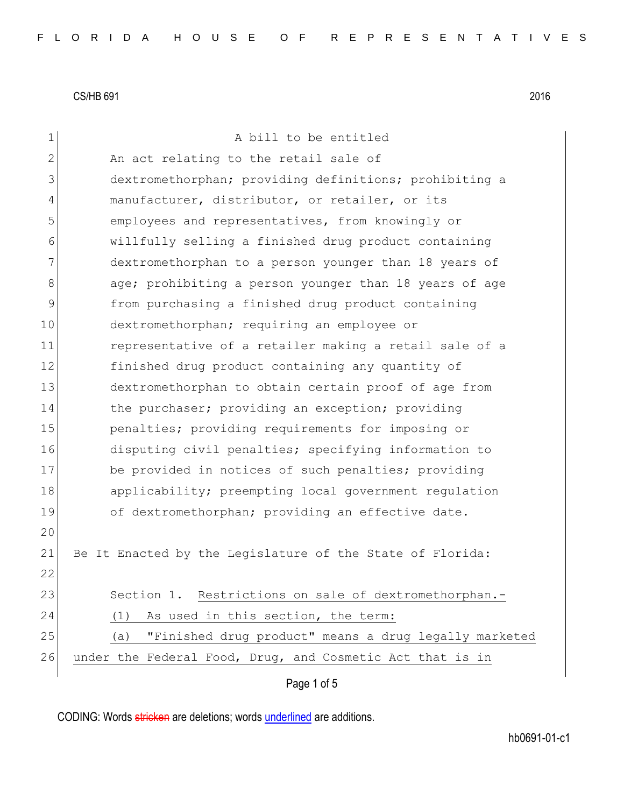| 1  | A bill to be entitled                                        |
|----|--------------------------------------------------------------|
| 2  | An act relating to the retail sale of                        |
| 3  | dextromethorphan; providing definitions; prohibiting a       |
| 4  | manufacturer, distributor, or retailer, or its               |
| 5  | employees and representatives, from knowingly or             |
| 6  | willfully selling a finished drug product containing         |
| 7  | dextromethorphan to a person younger than 18 years of        |
| 8  | age; prohibiting a person younger than 18 years of age       |
| 9  | from purchasing a finished drug product containing           |
| 10 | dextromethorphan; requiring an employee or                   |
| 11 | representative of a retailer making a retail sale of a       |
| 12 | finished drug product containing any quantity of             |
| 13 | dextromethorphan to obtain certain proof of age from         |
| 14 | the purchaser; providing an exception; providing             |
| 15 | penalties; providing requirements for imposing or            |
| 16 | disputing civil penalties; specifying information to         |
| 17 | be provided in notices of such penalties; providing          |
| 18 | applicability; preempting local government regulation        |
| 19 | of dextromethorphan; providing an effective date.            |
| 20 |                                                              |
| 21 | Be It Enacted by the Legislature of the State of Florida:    |
| 22 |                                                              |
| 23 | Section 1. Restrictions on sale of dextromethorphan.-        |
| 24 | As used in this section, the term:<br>(1)                    |
| 25 | "Finished drug product" means a drug legally marketed<br>(a) |
| 26 | under the Federal Food, Drug, and Cosmetic Act that is in    |
|    | Page 1 of 5                                                  |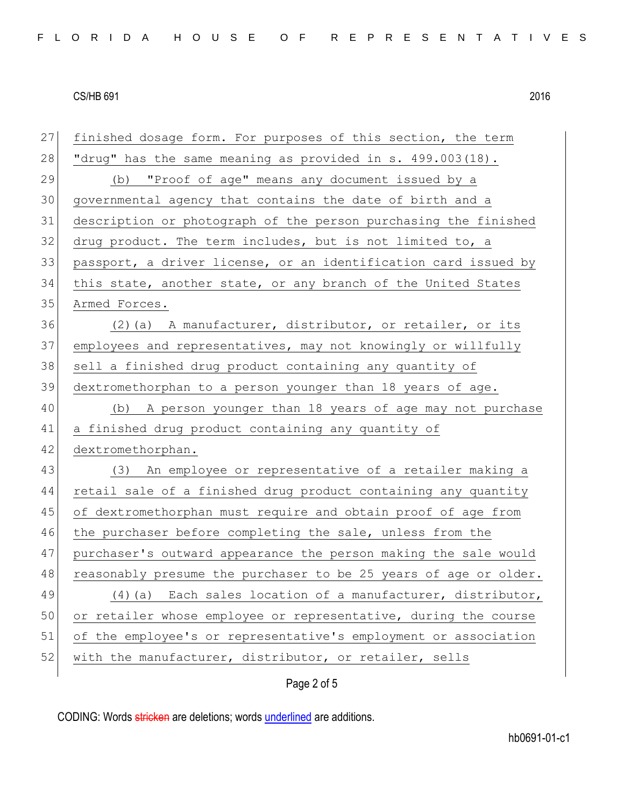| 27 | finished dosage form. For purposes of this section, the term     |
|----|------------------------------------------------------------------|
| 28 | "drug" has the same meaning as provided in s. 499.003(18).       |
| 29 | "Proof of age" means any document issued by a<br>(b)             |
| 30 | governmental agency that contains the date of birth and a        |
| 31 | description or photograph of the person purchasing the finished  |
| 32 | drug product. The term includes, but is not limited to, a        |
| 33 | passport, a driver license, or an identification card issued by  |
| 34 | this state, another state, or any branch of the United States    |
| 35 | Armed Forces.                                                    |
| 36 | (2) (a) A manufacturer, distributor, or retailer, or its         |
| 37 | employees and representatives, may not knowingly or willfully    |
| 38 | sell a finished drug product containing any quantity of          |
| 39 | dextromethorphan to a person younger than 18 years of age.       |
| 40 | (b) A person younger than 18 years of age may not purchase       |
| 41 | a finished drug product containing any quantity of               |
| 42 | dextromethorphan.                                                |
| 43 | (3) An employee or representative of a retailer making a         |
| 44 | retail sale of a finished drug product containing any quantity   |
| 45 | of dextromethorphan must require and obtain proof of age from    |
| 46 | the purchaser before completing the sale, unless from the        |
| 47 | purchaser's outward appearance the person making the sale would  |
| 48 | reasonably presume the purchaser to be 25 years of age or older. |
| 49 | Each sales location of a manufacturer, distributor,<br>$(4)$ (a) |
| 50 | or retailer whose employee or representative, during the course  |
| 51 | of the employee's or representative's employment or association  |
| 52 | with the manufacturer, distributor, or retailer, sells           |
|    |                                                                  |

## Page 2 of 5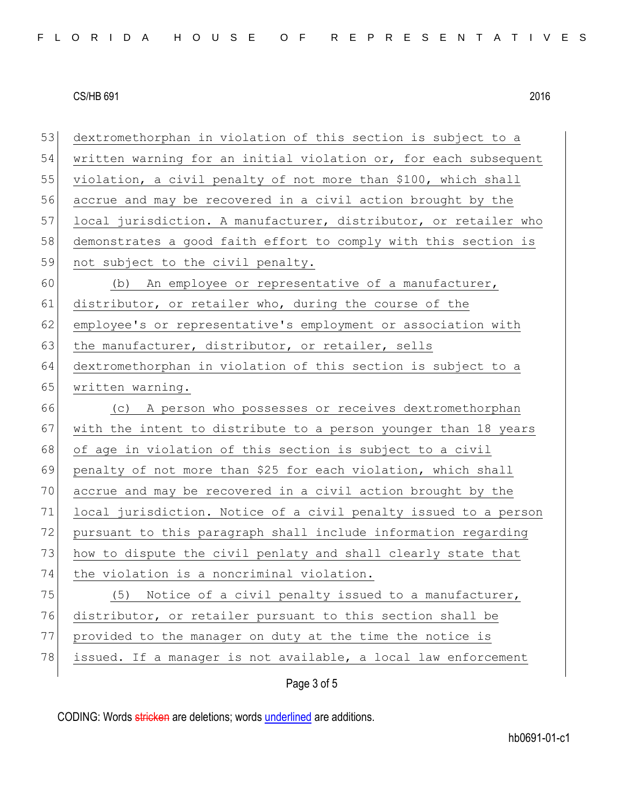53 dextromethorphan in violation of this section is subject to a 54 written warning for an initial violation or, for each subsequent 55 violation, a civil penalty of not more than \$100, which shall 56 accrue and may be recovered in a civil action brought by the 57 local jurisdiction. A manufacturer, distributor, or retailer who 58 demonstrates a good faith effort to comply with this section is 59 not subject to the civil penalty. 60 (b) An employee or representative of a manufacturer, 61 distributor, or retailer who, during the course of the 62 employee's or representative's employment or association with 63 the manufacturer, distributor, or retailer, sells 64 dextromethorphan in violation of this section is subject to a 65 written warning. 66 (c) A person who possesses or receives dextromethorphan 67 with the intent to distribute to a person younger than 18 years 68 of age in violation of this section is subject to a civil 69 penalty of not more than \$25 for each violation, which shall 70 accrue and may be recovered in a civil action brought by the 71 local jurisdiction. Notice of a civil penalty issued to a person 72 pursuant to this paragraph shall include information regarding 73 how to dispute the civil penlaty and shall clearly state that 74 the violation is a noncriminal violation. 75 (5) Notice of a civil penalty issued to a manufacturer, 76 distributor, or retailer pursuant to this section shall be 77 provided to the manager on duty at the time the notice is 78 issued. If a manager is not available, a local law enforcement

Page 3 of 5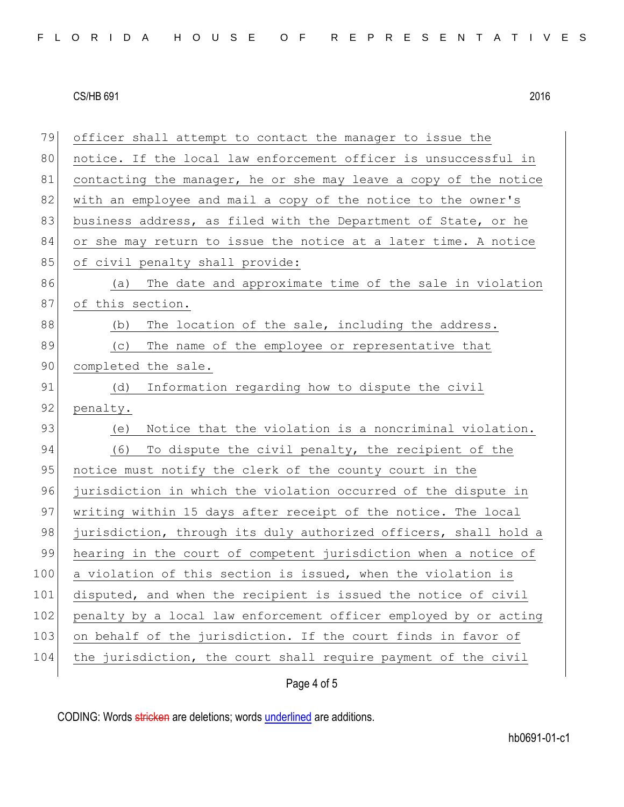| 79  | officer shall attempt to contact the manager to issue the        |
|-----|------------------------------------------------------------------|
| 80  | notice. If the local law enforcement officer is unsuccessful in  |
| 81  | contacting the manager, he or she may leave a copy of the notice |
| 82  | with an employee and mail a copy of the notice to the owner's    |
| 83  | business address, as filed with the Department of State, or he   |
| 84  | or she may return to issue the notice at a later time. A notice  |
| 85  | of civil penalty shall provide:                                  |
| 86  | The date and approximate time of the sale in violation<br>(a)    |
| 87  | of this section.                                                 |
| 88  | The location of the sale, including the address.<br>(b)          |
| 89  | The name of the employee or representative that<br>(C)           |
| 90  | completed the sale.                                              |
| 91  | Information regarding how to dispute the civil<br>(d)            |
| 92  | penalty.                                                         |
| 93  | Notice that the violation is a noncriminal violation.<br>(e)     |
| 94  | (6)<br>To dispute the civil penalty, the recipient of the        |
| 95  | notice must notify the clerk of the county court in the          |
| 96  | jurisdiction in which the violation occurred of the dispute in   |
| 97  | writing within 15 days after receipt of the notice. The local    |
| 98  | jurisdiction, through its duly authorized officers, shall hold a |
| 99  | hearing in the court of competent jurisdiction when a notice of  |
| 100 | a violation of this section is issued, when the violation is     |
| 101 | disputed, and when the recipient is issued the notice of civil   |
| 102 | penalty by a local law enforcement officer employed by or acting |
| 103 | on behalf of the jurisdiction. If the court finds in favor of    |
| 104 | the jurisdiction, the court shall require payment of the civil   |
|     |                                                                  |

Page 4 of 5